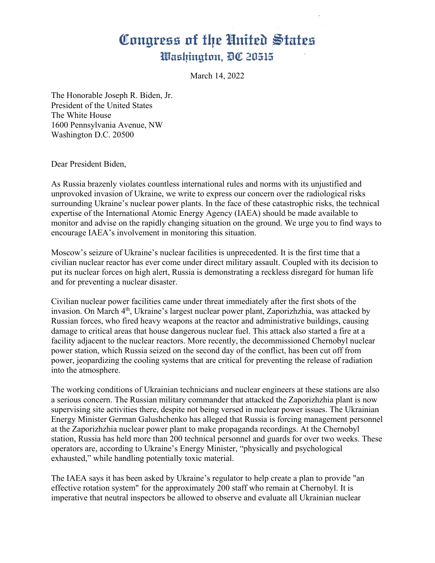## Congress of the United States Washington, DC 20515

March 14, 2022

The Honorable Joseph R. Biden, Jr. President of the United States The White House 1600 Pennsylvania Avenue, NW Washington D.C. 20500

Dear President Biden,

As Russia brazenly violates countless international rules and norms with its unjustified and unprovoked invasion of Ukraine, we write to express our concern over the radiological risks surrounding Ukraine's nuclear power plants. In the face of these catastrophic risks, the technical expertise of the International Atomic Energy Agency (IAEA) should be made available to monitor and advise on the rapidly changing situation on the ground. We urge you to find ways to encourage IAEA's involvement in monitoring this situation.

Moscow's seizure of Ukraine's nuclear facilities is unprecedented. It is the first time that a civilian nuclear reactor has ever come under direct military assault. Coupled with its decision to put its nuclear forces on high alert, Russia is demonstrating a reckless disregard for human life and for preventing a nuclear disaster.

Civilian nuclear power facilities came under threat immediately after the first shots of the invasion. On March 4<sup>th</sup>, Ukraine's largest nuclear power plant, Zaporizhzhia, was attacked by Russian forces, who fired heavy weapons at the reactor and administrative buildings, causing damage to critical areas that house dangerous nuclear fuel. This attack also started a fire at a facility adjacent to the nuclear reactors. More recently, the decommissioned Chernobyl nuclear power station, which Russia seized on the second day of the conflict, has been cut off from power, jeopardizing the cooling systems that are critical for preventing the release of radiation into the atmosphere.

The working conditions of Ukrainian technicians and nuclear engineers at these stations are also a serious concern. The Russian military commander that attacked the Zaporizhzhia plant is now supervising site activities there, despite not being versed in nuclear power issues. The Ukrainian Energy Minister German Galushchenko has alleged that Russia is forcing management personnel at the Zaporizhzhia nuclear power plant to make propaganda recordings. At the Chernobyl station, Russia has held more than 200 technical personnel and guards for over two weeks. These operators are, according to Ukraine's Energy Minister, "physically and psychological exhausted," while handling potentially toxic material.

The IAEA says it has been asked by Ukraine's regulator to help create a plan to provide "an effective rotation system" for the approximately 200 staff who remain at Chernobyl. It is imperative that neutral inspectors be allowed to observe and evaluate all Ukrainian nuclear